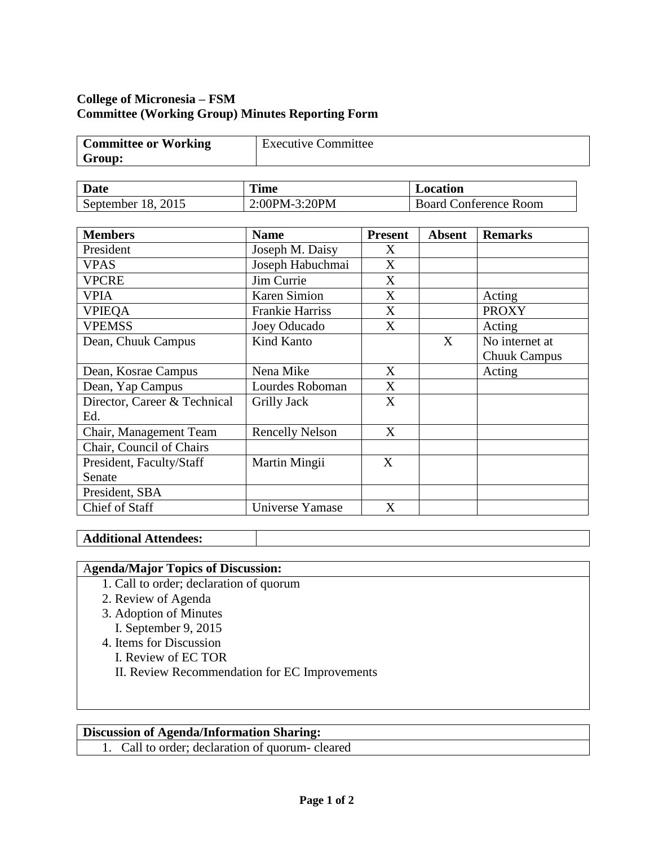# **College of Micronesia – FSM Committee (Working Group) Minutes Reporting Form**

| <b>Committee or Working</b> | Executive Committee |
|-----------------------------|---------------------|
| Group:                      |                     |

| <b>Date</b>        | <b>Time</b>   | Location                   |
|--------------------|---------------|----------------------------|
| September 18, 2015 | 2:00PM-3:20PM | Conference Room<br>Board C |

| <b>Members</b>               | <b>Name</b>            | <b>Present</b> | <b>Absent</b> | <b>Remarks</b>      |
|------------------------------|------------------------|----------------|---------------|---------------------|
| President                    | Joseph M. Daisy        | X              |               |                     |
| <b>VPAS</b>                  | Joseph Habuchmai       | X              |               |                     |
| <b>VPCRE</b>                 | Jim Currie             | X              |               |                     |
| <b>VPIA</b>                  | <b>Karen Simion</b>    | X              |               | Acting              |
| <b>VPIEQA</b>                | <b>Frankie Harriss</b> | X              |               | <b>PROXY</b>        |
| <b>VPEMSS</b>                | Joey Oducado           | X              |               | Acting              |
| Dean, Chuuk Campus           | Kind Kanto             |                | X             | No internet at      |
|                              |                        |                |               | <b>Chuuk Campus</b> |
| Dean, Kosrae Campus          | Nena Mike              | X              |               | Acting              |
| Dean, Yap Campus             | Lourdes Roboman        | X              |               |                     |
| Director, Career & Technical | <b>Grilly Jack</b>     | X              |               |                     |
| Ed.                          |                        |                |               |                     |
| Chair, Management Team       | <b>Rencelly Nelson</b> | X              |               |                     |
| Chair, Council of Chairs     |                        |                |               |                     |
| President, Faculty/Staff     | Martin Mingii          | X              |               |                     |
| Senate                       |                        |                |               |                     |
| President, SBA               |                        |                |               |                     |
| Chief of Staff               | Universe Yamase        | X              |               |                     |

### **Additional Attendees:**

## A**genda/Major Topics of Discussion:**

- 1. Call to order; declaration of quorum
- 2. Review of Agenda
- 3. Adoption of Minutes I. September 9, 2015
- 4. Items for Discussion
	- I. Review of EC TOR
	- II. Review Recommendation for EC Improvements

## **Discussion of Agenda/Information Sharing:**

1. Call to order; declaration of quorum- cleared